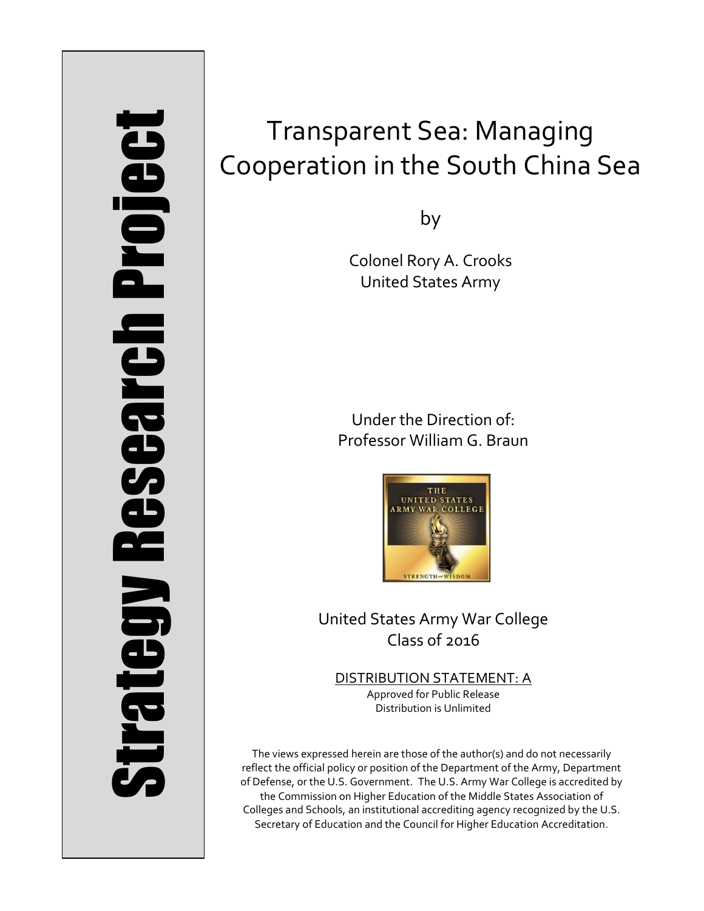# Strategy Research Project **Strategy Research Project**

# Transparent Sea: Managing Cooperation in the South China Sea

by

Colonel Rory A. Crooks United States Army

Under the Direction of: Professor William G. Braun



United States Army War College Class of 2016

DISTRIBUTION STATEMENT: A Approved for Public Release Distribution is Unlimited

The views expressed herein are those of the author(s) and do not necessarily reflect the official policy or position of the Department of the Army, Department of Defense, or the U.S. Government. The U.S. Army War College is accredited by the Commission on Higher Education of the Middle States Association of Colleges and Schools, an institutional accrediting agency recognized by the U.S. Secretary of Education and the Council for Higher Education Accreditation.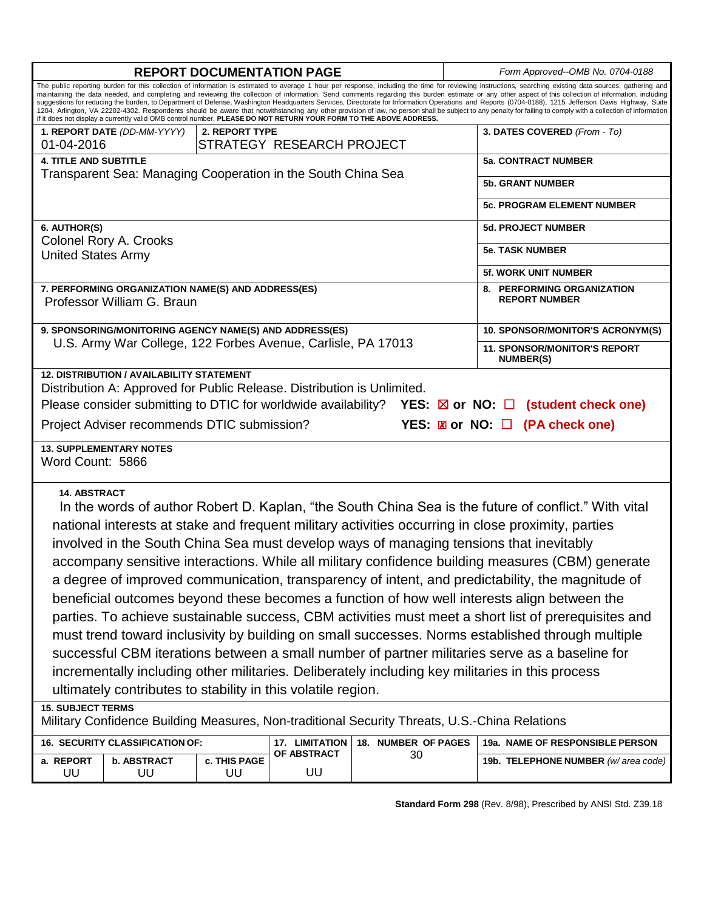| <b>REPORT DOCUMENTATION PAGE</b>                                                                                                                                                                                                                                                                                                                                                                                                                                                                                                                                                                                                                                                                                                                                                                                                                                                                                                                                                                                                                                                                                   |                             |                    |                           |                     |                           | Form Approved--OMB No. 0704-0188                        |  |
|--------------------------------------------------------------------------------------------------------------------------------------------------------------------------------------------------------------------------------------------------------------------------------------------------------------------------------------------------------------------------------------------------------------------------------------------------------------------------------------------------------------------------------------------------------------------------------------------------------------------------------------------------------------------------------------------------------------------------------------------------------------------------------------------------------------------------------------------------------------------------------------------------------------------------------------------------------------------------------------------------------------------------------------------------------------------------------------------------------------------|-----------------------------|--------------------|---------------------------|---------------------|---------------------------|---------------------------------------------------------|--|
| The public reporting burden for this collection of information is estimated to average 1 hour per response, including the time for reviewing instructions, searching existing data sources, gathering and<br>maintaining the data needed, and completing and reviewing the collection of information. Send comments regarding this burden estimate or any other aspect of this collection of information, including<br>suggestions for reducing the burden, to Department of Defense, Washington Headquarters Services, Directorate for Information Operations and Reports (0704-0188), 1215 Jefferson Davis Highway, Suite<br>1204, Arlington, VA 22202-4302. Respondents should be aware that notwithstanding any other provision of law, no person shall be subject to any penalty for failing to comply with a collection of information<br>if it does not display a currently valid OMB control number. PLEASE DO NOT RETURN YOUR FORM TO THE ABOVE ADDRESS.                                                                                                                                                  |                             |                    |                           |                     |                           |                                                         |  |
|                                                                                                                                                                                                                                                                                                                                                                                                                                                                                                                                                                                                                                                                                                                                                                                                                                                                                                                                                                                                                                                                                                                    | 1. REPORT DATE (DD-MM-YYYY) | 2. REPORT TYPE     |                           |                     |                           | 3. DATES COVERED (From - To)                            |  |
| 01-04-2016                                                                                                                                                                                                                                                                                                                                                                                                                                                                                                                                                                                                                                                                                                                                                                                                                                                                                                                                                                                                                                                                                                         |                             |                    | STRATEGY RESEARCH PROJECT |                     |                           | <b>5a. CONTRACT NUMBER</b>                              |  |
| <b>4. TITLE AND SUBTITLE</b><br>Transparent Sea: Managing Cooperation in the South China Sea                                                                                                                                                                                                                                                                                                                                                                                                                                                                                                                                                                                                                                                                                                                                                                                                                                                                                                                                                                                                                       |                             |                    |                           |                     |                           |                                                         |  |
|                                                                                                                                                                                                                                                                                                                                                                                                                                                                                                                                                                                                                                                                                                                                                                                                                                                                                                                                                                                                                                                                                                                    |                             |                    |                           |                     |                           | <b>5b. GRANT NUMBER</b>                                 |  |
|                                                                                                                                                                                                                                                                                                                                                                                                                                                                                                                                                                                                                                                                                                                                                                                                                                                                                                                                                                                                                                                                                                                    |                             |                    |                           |                     |                           | <b>5c. PROGRAM ELEMENT NUMBER</b>                       |  |
| 6. AUTHOR(S)                                                                                                                                                                                                                                                                                                                                                                                                                                                                                                                                                                                                                                                                                                                                                                                                                                                                                                                                                                                                                                                                                                       |                             |                    |                           |                     | <b>5d. PROJECT NUMBER</b> |                                                         |  |
| Colonel Rory A. Crooks<br><b>United States Army</b>                                                                                                                                                                                                                                                                                                                                                                                                                                                                                                                                                                                                                                                                                                                                                                                                                                                                                                                                                                                                                                                                |                             |                    |                           |                     |                           | <b>5e. TASK NUMBER</b>                                  |  |
|                                                                                                                                                                                                                                                                                                                                                                                                                                                                                                                                                                                                                                                                                                                                                                                                                                                                                                                                                                                                                                                                                                                    |                             |                    |                           |                     |                           | <b>5f. WORK UNIT NUMBER</b>                             |  |
| 7. PERFORMING ORGANIZATION NAME(S) AND ADDRESS(ES)<br>Professor William G. Braun                                                                                                                                                                                                                                                                                                                                                                                                                                                                                                                                                                                                                                                                                                                                                                                                                                                                                                                                                                                                                                   |                             |                    |                           |                     |                           | 8. PERFORMING ORGANIZATION<br><b>REPORT NUMBER</b>      |  |
| 9. SPONSORING/MONITORING AGENCY NAME(S) AND ADDRESS(ES)                                                                                                                                                                                                                                                                                                                                                                                                                                                                                                                                                                                                                                                                                                                                                                                                                                                                                                                                                                                                                                                            |                             |                    |                           |                     |                           | 10. SPONSOR/MONITOR'S ACRONYM(S)                        |  |
| U.S. Army War College, 122 Forbes Avenue, Carlisle, PA 17013                                                                                                                                                                                                                                                                                                                                                                                                                                                                                                                                                                                                                                                                                                                                                                                                                                                                                                                                                                                                                                                       |                             |                    |                           |                     |                           | <b>11. SPONSOR/MONITOR'S REPORT</b><br><b>NUMBER(S)</b> |  |
| <b>12. DISTRIBUTION / AVAILABILITY STATEMENT</b><br>Distribution A: Approved for Public Release. Distribution is Unlimited.<br>Please consider submitting to DTIC for worldwide availability? YES: $\boxtimes$ or NO: $\Box$ (student check one)<br>YES: <b>Z</b> or NO: □ (PA check one)<br>Project Adviser recommends DTIC submission?                                                                                                                                                                                                                                                                                                                                                                                                                                                                                                                                                                                                                                                                                                                                                                           |                             |                    |                           |                     |                           |                                                         |  |
| <b>13. SUPPLEMENTARY NOTES</b><br>Word Count: 5866                                                                                                                                                                                                                                                                                                                                                                                                                                                                                                                                                                                                                                                                                                                                                                                                                                                                                                                                                                                                                                                                 |                             |                    |                           |                     |                           |                                                         |  |
| <b>14. ABSTRACT</b><br>In the words of author Robert D. Kaplan, "the South China Sea is the future of conflict." With vital<br>national interests at stake and frequent military activities occurring in close proximity, parties<br>involved in the South China Sea must develop ways of managing tensions that inevitably<br>accompany sensitive interactions. While all military confidence building measures (CBM) generate<br>a degree of improved communication, transparency of intent, and predictability, the magnitude of<br>beneficial outcomes beyond these becomes a function of how well interests align between the<br>parties. To achieve sustainable success, CBM activities must meet a short list of prerequisites and<br>must trend toward inclusivity by building on small successes. Norms established through multiple<br>successful CBM iterations between a small number of partner militaries serve as a baseline for<br>incrementally including other militaries. Deliberately including key militaries in this process<br>ultimately contributes to stability in this volatile region. |                             |                    |                           |                     |                           |                                                         |  |
| <b>15. SUBJECT TERMS</b><br>Military Confidence Building Measures, Non-traditional Security Threats, U.S.-China Relations                                                                                                                                                                                                                                                                                                                                                                                                                                                                                                                                                                                                                                                                                                                                                                                                                                                                                                                                                                                          |                             |                    |                           |                     |                           |                                                         |  |
| 16. SECURITY CLASSIFICATION OF:                                                                                                                                                                                                                                                                                                                                                                                                                                                                                                                                                                                                                                                                                                                                                                                                                                                                                                                                                                                                                                                                                    |                             |                    | 17. LIMITATION            | 18. NUMBER OF PAGES |                           | 19a. NAME OF RESPONSIBLE PERSON                         |  |
| a. REPORT<br>UU                                                                                                                                                                                                                                                                                                                                                                                                                                                                                                                                                                                                                                                                                                                                                                                                                                                                                                                                                                                                                                                                                                    | <b>b. ABSTRACT</b><br>UU    | c. THIS PAGE<br>UU | <b>OF ABSTRACT</b><br>UU  | 30                  |                           | 19b. TELEPHONE NUMBER (w/area code)                     |  |

**Standard Form 298** (Rev. 8/98), Prescribed by ANSI Std. Z39.18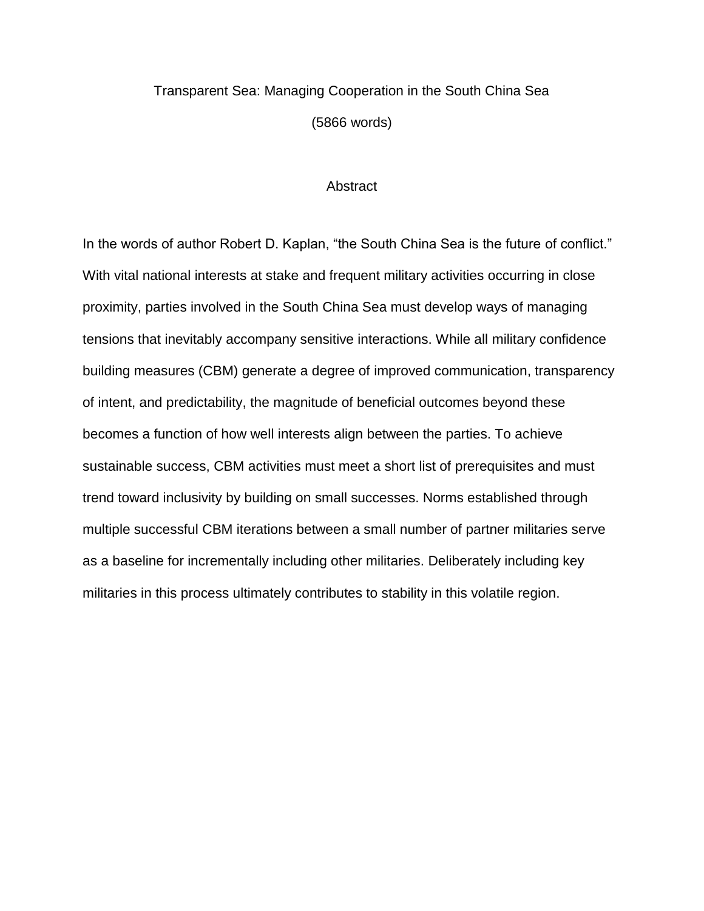## Transparent Sea: Managing Cooperation in the South China Sea (5866 words)

### **Abstract**

In the words of author Robert D. Kaplan, "the South China Sea is the future of conflict." With vital national interests at stake and frequent military activities occurring in close proximity, parties involved in the South China Sea must develop ways of managing tensions that inevitably accompany sensitive interactions. While all military confidence building measures (CBM) generate a degree of improved communication, transparency of intent, and predictability, the magnitude of beneficial outcomes beyond these becomes a function of how well interests align between the parties. To achieve sustainable success, CBM activities must meet a short list of prerequisites and must trend toward inclusivity by building on small successes. Norms established through multiple successful CBM iterations between a small number of partner militaries serve as a baseline for incrementally including other militaries. Deliberately including key militaries in this process ultimately contributes to stability in this volatile region.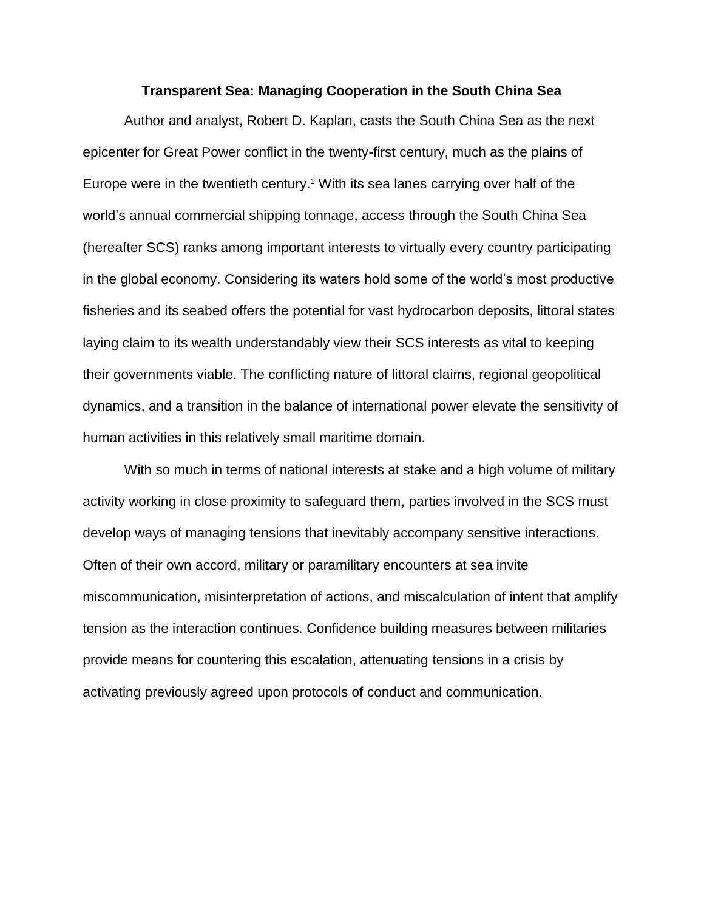### **Transparent Sea: Managing Cooperation in the South China Sea**

Author and analyst, Robert D. Kaplan, casts the South China Sea as the next epicenter for Great Power conflict in the twenty-first century, much as the plains of Europe were in the twentieth century.<sup>1</sup> With its sea lanes carrying over half of the world's annual commercial shipping tonnage, access through the South China Sea (hereafter SCS) ranks among important interests to virtually every country participating in the global economy. Considering its waters hold some of the world's most productive fisheries and its seabed offers the potential for vast hydrocarbon deposits, littoral states laying claim to its wealth understandably view their SCS interests as vital to keeping their governments viable. The conflicting nature of littoral claims, regional geopolitical dynamics, and a transition in the balance of international power elevate the sensitivity of human activities in this relatively small maritime domain.

With so much in terms of national interests at stake and a high volume of military activity working in close proximity to safeguard them, parties involved in the SCS must develop ways of managing tensions that inevitably accompany sensitive interactions. Often of their own accord, military or paramilitary encounters at sea invite miscommunication, misinterpretation of actions, and miscalculation of intent that amplify tension as the interaction continues. Confidence building measures between militaries provide means for countering this escalation, attenuating tensions in a crisis by activating previously agreed upon protocols of conduct and communication.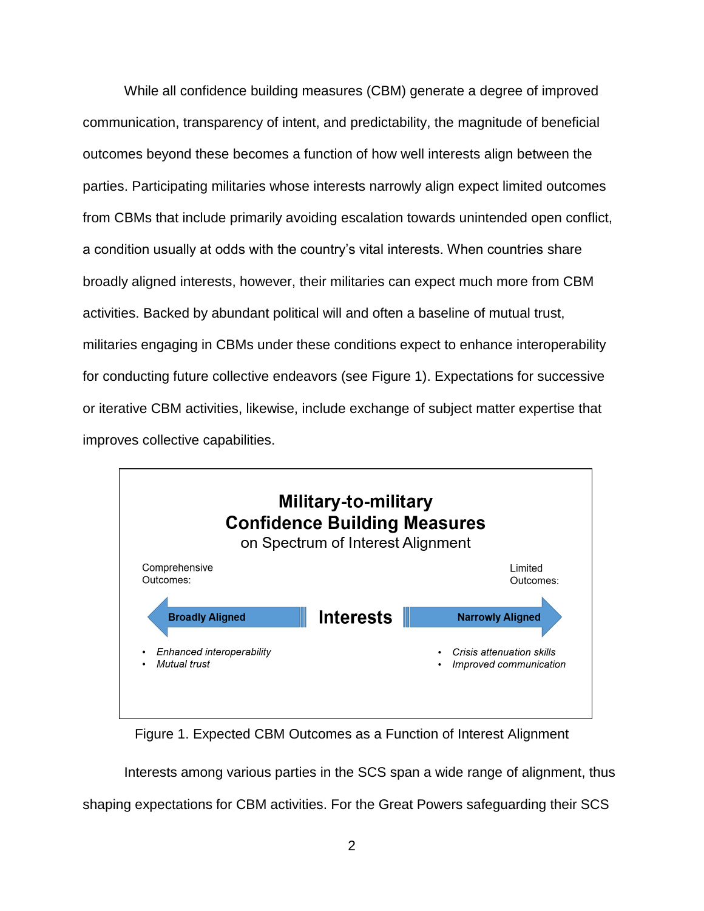While all confidence building measures (CBM) generate a degree of improved communication, transparency of intent, and predictability, the magnitude of beneficial outcomes beyond these becomes a function of how well interests align between the parties. Participating militaries whose interests narrowly align expect limited outcomes from CBMs that include primarily avoiding escalation towards unintended open conflict, a condition usually at odds with the country's vital interests. When countries share broadly aligned interests, however, their militaries can expect much more from CBM activities. Backed by abundant political will and often a baseline of mutual trust, militaries engaging in CBMs under these conditions expect to enhance interoperability for conducting future collective endeavors (see Figure 1). Expectations for successive or iterative CBM activities, likewise, include exchange of subject matter expertise that improves collective capabilities.



Figure 1. Expected CBM Outcomes as a Function of Interest Alignment

Interests among various parties in the SCS span a wide range of alignment, thus shaping expectations for CBM activities. For the Great Powers safeguarding their SCS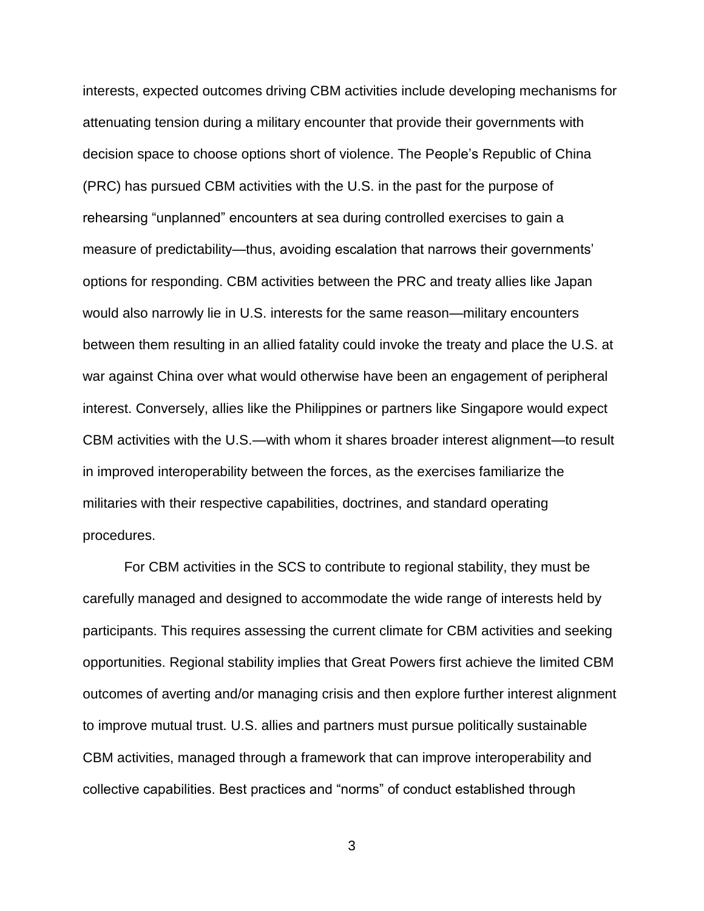interests, expected outcomes driving CBM activities include developing mechanisms for attenuating tension during a military encounter that provide their governments with decision space to choose options short of violence. The People's Republic of China (PRC) has pursued CBM activities with the U.S. in the past for the purpose of rehearsing "unplanned" encounters at sea during controlled exercises to gain a measure of predictability—thus, avoiding escalation that narrows their governments' options for responding. CBM activities between the PRC and treaty allies like Japan would also narrowly lie in U.S. interests for the same reason—military encounters between them resulting in an allied fatality could invoke the treaty and place the U.S. at war against China over what would otherwise have been an engagement of peripheral interest. Conversely, allies like the Philippines or partners like Singapore would expect CBM activities with the U.S.—with whom it shares broader interest alignment—to result in improved interoperability between the forces, as the exercises familiarize the militaries with their respective capabilities, doctrines, and standard operating procedures.

For CBM activities in the SCS to contribute to regional stability, they must be carefully managed and designed to accommodate the wide range of interests held by participants. This requires assessing the current climate for CBM activities and seeking opportunities. Regional stability implies that Great Powers first achieve the limited CBM outcomes of averting and/or managing crisis and then explore further interest alignment to improve mutual trust. U.S. allies and partners must pursue politically sustainable CBM activities, managed through a framework that can improve interoperability and collective capabilities. Best practices and "norms" of conduct established through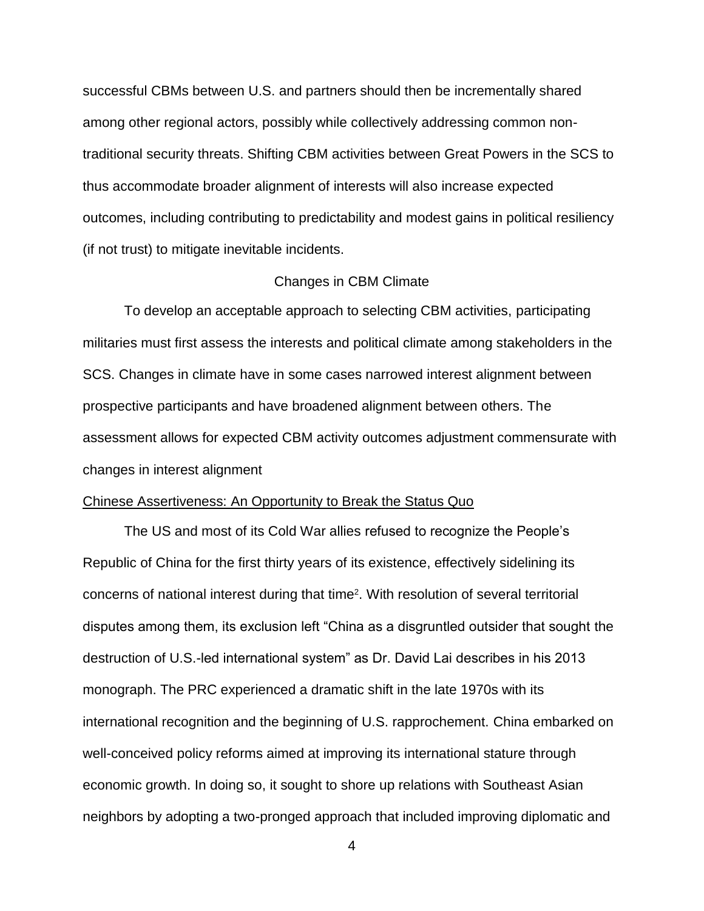successful CBMs between U.S. and partners should then be incrementally shared among other regional actors, possibly while collectively addressing common nontraditional security threats. Shifting CBM activities between Great Powers in the SCS to thus accommodate broader alignment of interests will also increase expected outcomes, including contributing to predictability and modest gains in political resiliency (if not trust) to mitigate inevitable incidents.

### Changes in CBM Climate

To develop an acceptable approach to selecting CBM activities, participating militaries must first assess the interests and political climate among stakeholders in the SCS. Changes in climate have in some cases narrowed interest alignment between prospective participants and have broadened alignment between others. The assessment allows for expected CBM activity outcomes adjustment commensurate with changes in interest alignment

### Chinese Assertiveness: An Opportunity to Break the Status Quo

The US and most of its Cold War allies refused to recognize the People's Republic of China for the first thirty years of its existence, effectively sidelining its concerns of national interest during that time<sup>2</sup>. With resolution of several territorial disputes among them, its exclusion left "China as a disgruntled outsider that sought the destruction of U.S.-led international system" as Dr. David Lai describes in his 2013 monograph. The PRC experienced a dramatic shift in the late 1970s with its international recognition and the beginning of U.S. rapprochement. China embarked on well-conceived policy reforms aimed at improving its international stature through economic growth. In doing so, it sought to shore up relations with Southeast Asian neighbors by adopting a two-pronged approach that included improving diplomatic and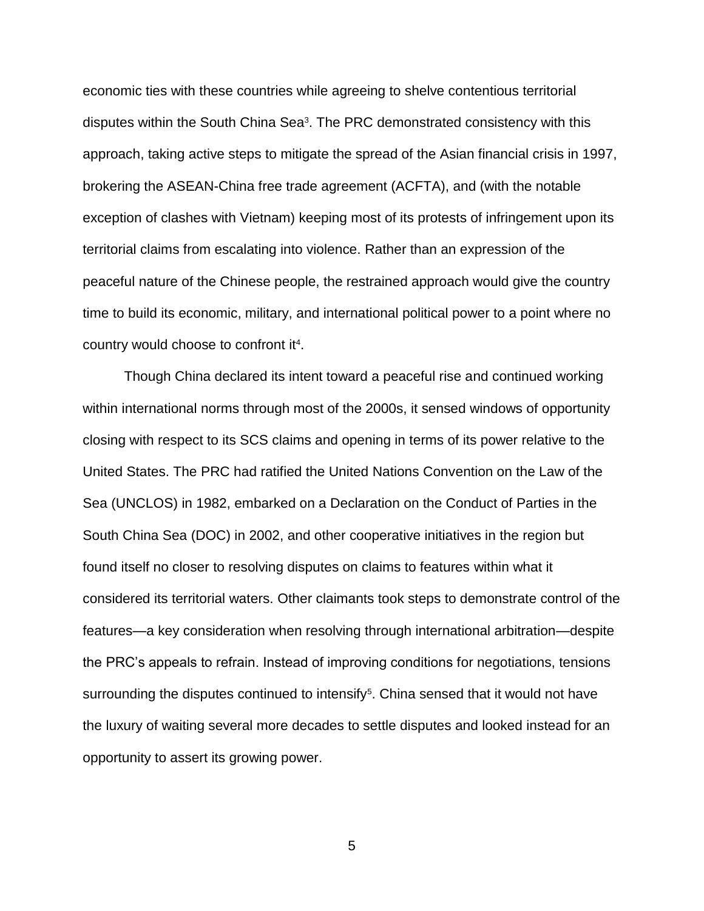economic ties with these countries while agreeing to shelve contentious territorial disputes within the South China Sea<sup>3</sup>. The PRC demonstrated consistency with this approach, taking active steps to mitigate the spread of the Asian financial crisis in 1997, brokering the ASEAN-China free trade agreement (ACFTA), and (with the notable exception of clashes with Vietnam) keeping most of its protests of infringement upon its territorial claims from escalating into violence. Rather than an expression of the peaceful nature of the Chinese people, the restrained approach would give the country time to build its economic, military, and international political power to a point where no country would choose to confront it<sup>4</sup>.

Though China declared its intent toward a peaceful rise and continued working within international norms through most of the 2000s, it sensed windows of opportunity closing with respect to its SCS claims and opening in terms of its power relative to the United States. The PRC had ratified the United Nations Convention on the Law of the Sea (UNCLOS) in 1982, embarked on a Declaration on the Conduct of Parties in the South China Sea (DOC) in 2002, and other cooperative initiatives in the region but found itself no closer to resolving disputes on claims to features within what it considered its territorial waters. Other claimants took steps to demonstrate control of the features—a key consideration when resolving through international arbitration—despite the PRC's appeals to refrain. Instead of improving conditions for negotiations, tensions surrounding the disputes continued to intensify<sup>5</sup>. China sensed that it would not have the luxury of waiting several more decades to settle disputes and looked instead for an opportunity to assert its growing power.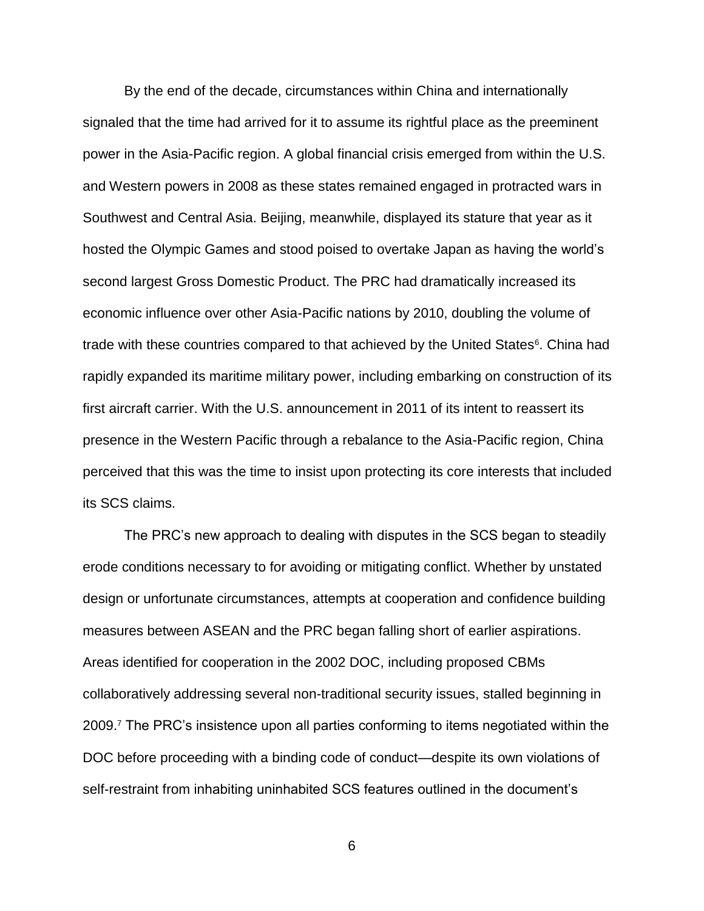By the end of the decade, circumstances within China and internationally signaled that the time had arrived for it to assume its rightful place as the preeminent power in the Asia-Pacific region. A global financial crisis emerged from within the U.S. and Western powers in 2008 as these states remained engaged in protracted wars in Southwest and Central Asia. Beijing, meanwhile, displayed its stature that year as it hosted the Olympic Games and stood poised to overtake Japan as having the world's second largest Gross Domestic Product. The PRC had dramatically increased its economic influence over other Asia-Pacific nations by 2010, doubling the volume of trade with these countries compared to that achieved by the United States<sup>6</sup>. China had rapidly expanded its maritime military power, including embarking on construction of its first aircraft carrier. With the U.S. announcement in 2011 of its intent to reassert its presence in the Western Pacific through a rebalance to the Asia-Pacific region, China perceived that this was the time to insist upon protecting its core interests that included its SCS claims.

The PRC's new approach to dealing with disputes in the SCS began to steadily erode conditions necessary to for avoiding or mitigating conflict. Whether by unstated design or unfortunate circumstances, attempts at cooperation and confidence building measures between ASEAN and the PRC began falling short of earlier aspirations. Areas identified for cooperation in the 2002 DOC, including proposed CBMs collaboratively addressing several non-traditional security issues, stalled beginning in 2009. <sup>7</sup> The PRC's insistence upon all parties conforming to items negotiated within the DOC before proceeding with a binding code of conduct—despite its own violations of self-restraint from inhabiting uninhabited SCS features outlined in the document's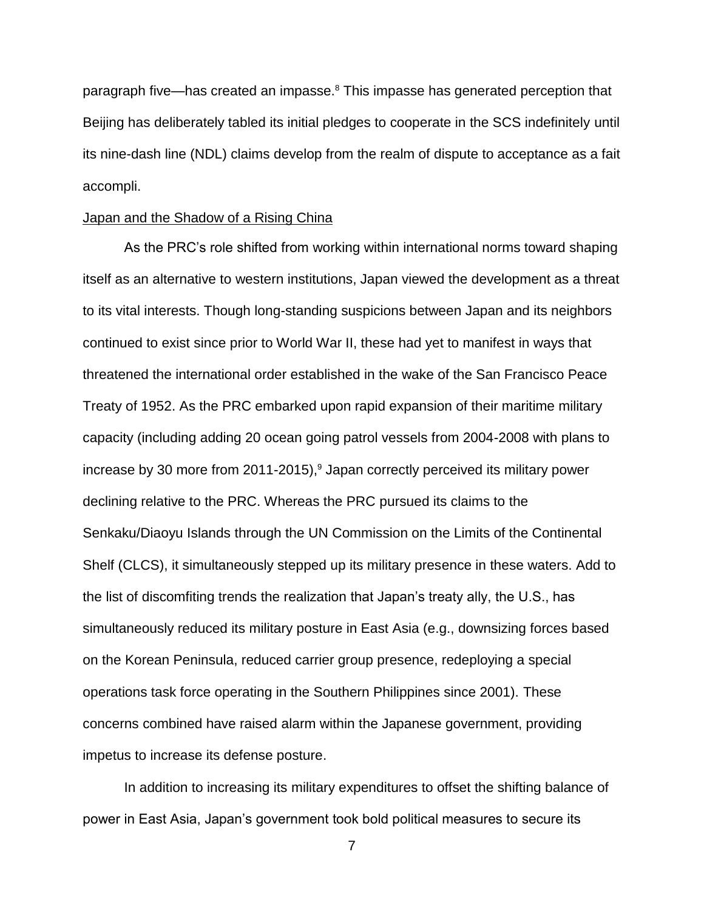paragraph five—has created an impasse.<sup>8</sup> This impasse has generated perception that Beijing has deliberately tabled its initial pledges to cooperate in the SCS indefinitely until its nine-dash line (NDL) claims develop from the realm of dispute to acceptance as a fait accompli.

### Japan and the Shadow of a Rising China

As the PRC's role shifted from working within international norms toward shaping itself as an alternative to western institutions, Japan viewed the development as a threat to its vital interests. Though long-standing suspicions between Japan and its neighbors continued to exist since prior to World War II, these had yet to manifest in ways that threatened the international order established in the wake of the San Francisco Peace Treaty of 1952. As the PRC embarked upon rapid expansion of their maritime military capacity (including adding 20 ocean going patrol vessels from 2004-2008 with plans to increase by 30 more from 2011-2015),<sup>9</sup> Japan correctly perceived its military power declining relative to the PRC. Whereas the PRC pursued its claims to the Senkaku/Diaoyu Islands through the UN Commission on the Limits of the Continental Shelf (CLCS), it simultaneously stepped up its military presence in these waters. Add to the list of discomfiting trends the realization that Japan's treaty ally, the U.S., has simultaneously reduced its military posture in East Asia (e.g., downsizing forces based on the Korean Peninsula, reduced carrier group presence, redeploying a special operations task force operating in the Southern Philippines since 2001). These concerns combined have raised alarm within the Japanese government, providing impetus to increase its defense posture.

In addition to increasing its military expenditures to offset the shifting balance of power in East Asia, Japan's government took bold political measures to secure its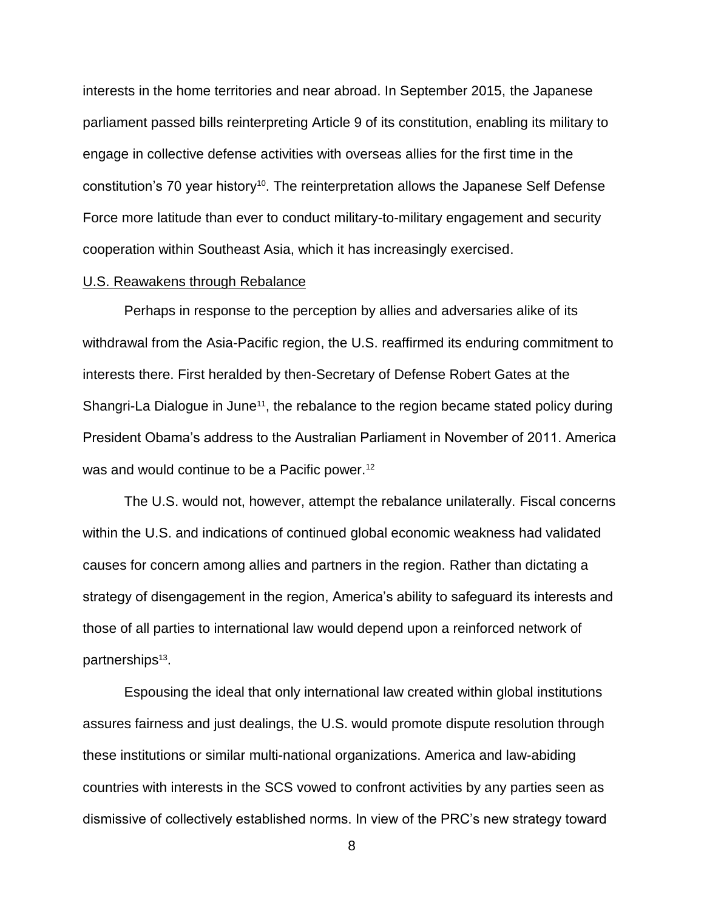interests in the home territories and near abroad. In September 2015, the Japanese parliament passed bills reinterpreting Article 9 of its constitution, enabling its military to engage in collective defense activities with overseas allies for the first time in the constitution's 70 year history<sup>10</sup>. The reinterpretation allows the Japanese Self Defense Force more latitude than ever to conduct military-to-military engagement and security cooperation within Southeast Asia, which it has increasingly exercised.

### U.S. Reawakens through Rebalance

Perhaps in response to the perception by allies and adversaries alike of its withdrawal from the Asia-Pacific region, the U.S. reaffirmed its enduring commitment to interests there. First heralded by then-Secretary of Defense Robert Gates at the Shangri-La Dialogue in June<sup>11</sup>, the rebalance to the region became stated policy during President Obama's address to the Australian Parliament in November of 2011. America was and would continue to be a Pacific power.<sup>12</sup>

The U.S. would not, however, attempt the rebalance unilaterally. Fiscal concerns within the U.S. and indications of continued global economic weakness had validated causes for concern among allies and partners in the region. Rather than dictating a strategy of disengagement in the region, America's ability to safeguard its interests and those of all parties to international law would depend upon a reinforced network of partnerships<sup>13</sup>.

Espousing the ideal that only international law created within global institutions assures fairness and just dealings, the U.S. would promote dispute resolution through these institutions or similar multi-national organizations. America and law-abiding countries with interests in the SCS vowed to confront activities by any parties seen as dismissive of collectively established norms. In view of the PRC's new strategy toward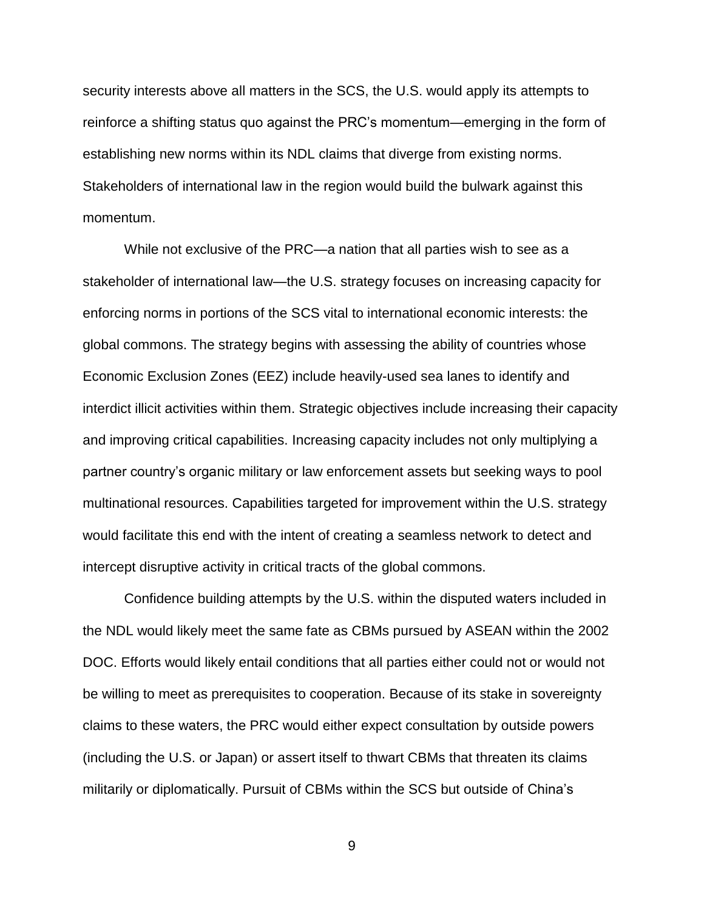security interests above all matters in the SCS, the U.S. would apply its attempts to reinforce a shifting status quo against the PRC's momentum—emerging in the form of establishing new norms within its NDL claims that diverge from existing norms. Stakeholders of international law in the region would build the bulwark against this momentum.

While not exclusive of the PRC—a nation that all parties wish to see as a stakeholder of international law—the U.S. strategy focuses on increasing capacity for enforcing norms in portions of the SCS vital to international economic interests: the global commons. The strategy begins with assessing the ability of countries whose Economic Exclusion Zones (EEZ) include heavily-used sea lanes to identify and interdict illicit activities within them. Strategic objectives include increasing their capacity and improving critical capabilities. Increasing capacity includes not only multiplying a partner country's organic military or law enforcement assets but seeking ways to pool multinational resources. Capabilities targeted for improvement within the U.S. strategy would facilitate this end with the intent of creating a seamless network to detect and intercept disruptive activity in critical tracts of the global commons.

Confidence building attempts by the U.S. within the disputed waters included in the NDL would likely meet the same fate as CBMs pursued by ASEAN within the 2002 DOC. Efforts would likely entail conditions that all parties either could not or would not be willing to meet as prerequisites to cooperation. Because of its stake in sovereignty claims to these waters, the PRC would either expect consultation by outside powers (including the U.S. or Japan) or assert itself to thwart CBMs that threaten its claims militarily or diplomatically. Pursuit of CBMs within the SCS but outside of China's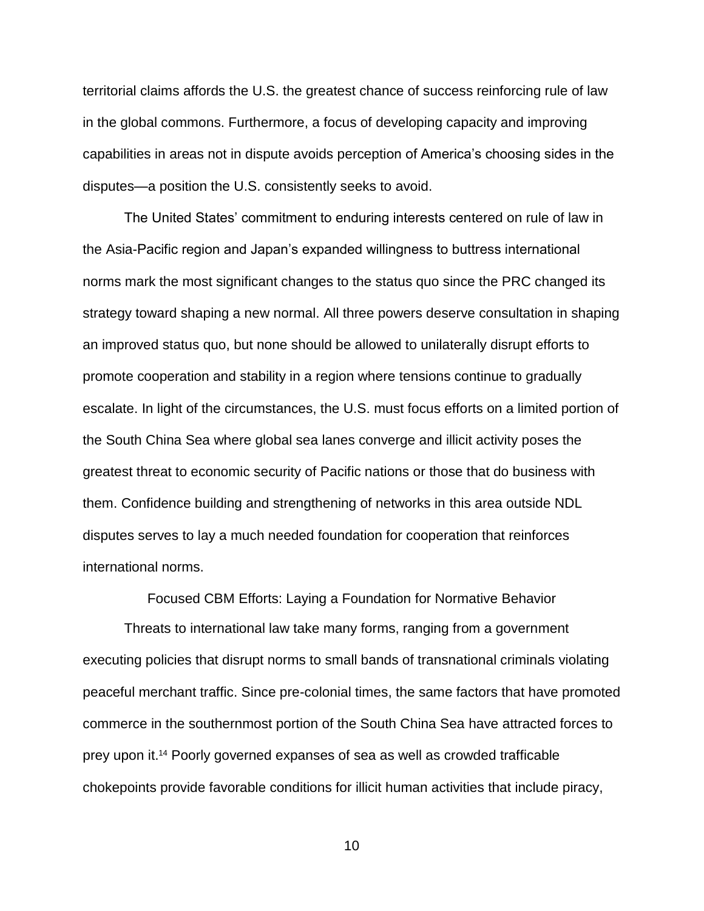territorial claims affords the U.S. the greatest chance of success reinforcing rule of law in the global commons. Furthermore, a focus of developing capacity and improving capabilities in areas not in dispute avoids perception of America's choosing sides in the disputes—a position the U.S. consistently seeks to avoid.

The United States' commitment to enduring interests centered on rule of law in the Asia-Pacific region and Japan's expanded willingness to buttress international norms mark the most significant changes to the status quo since the PRC changed its strategy toward shaping a new normal. All three powers deserve consultation in shaping an improved status quo, but none should be allowed to unilaterally disrupt efforts to promote cooperation and stability in a region where tensions continue to gradually escalate. In light of the circumstances, the U.S. must focus efforts on a limited portion of the South China Sea where global sea lanes converge and illicit activity poses the greatest threat to economic security of Pacific nations or those that do business with them. Confidence building and strengthening of networks in this area outside NDL disputes serves to lay a much needed foundation for cooperation that reinforces international norms.

Focused CBM Efforts: Laying a Foundation for Normative Behavior

Threats to international law take many forms, ranging from a government executing policies that disrupt norms to small bands of transnational criminals violating peaceful merchant traffic. Since pre-colonial times, the same factors that have promoted commerce in the southernmost portion of the South China Sea have attracted forces to prey upon it. <sup>14</sup> Poorly governed expanses of sea as well as crowded trafficable chokepoints provide favorable conditions for illicit human activities that include piracy,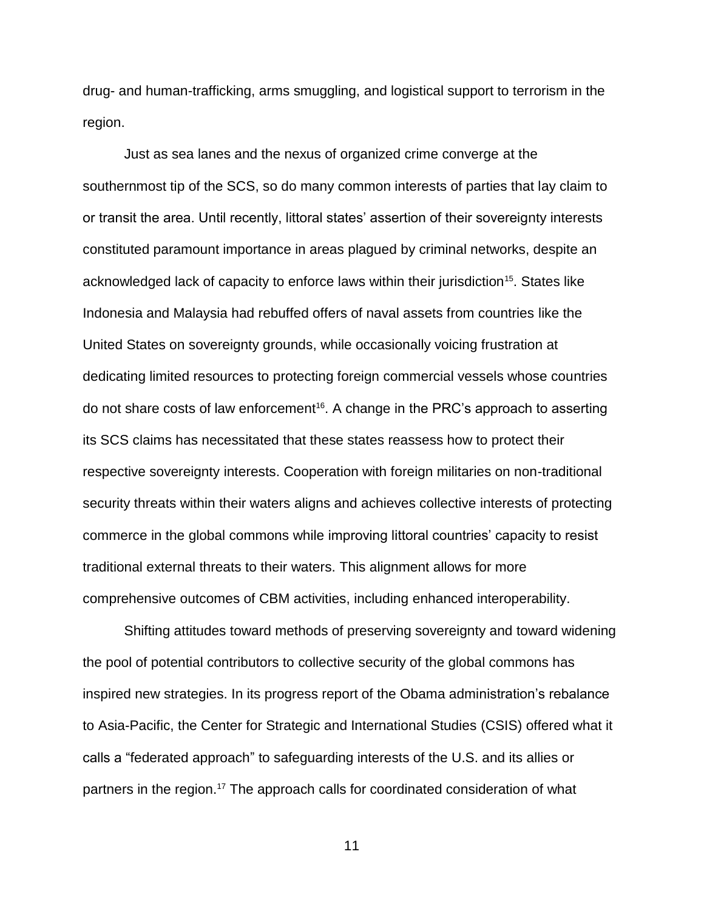drug- and human-trafficking, arms smuggling, and logistical support to terrorism in the region.

Just as sea lanes and the nexus of organized crime converge at the southernmost tip of the SCS, so do many common interests of parties that lay claim to or transit the area. Until recently, littoral states' assertion of their sovereignty interests constituted paramount importance in areas plagued by criminal networks, despite an acknowledged lack of capacity to enforce laws within their jurisdiction<sup>15</sup>. States like Indonesia and Malaysia had rebuffed offers of naval assets from countries like the United States on sovereignty grounds, while occasionally voicing frustration at dedicating limited resources to protecting foreign commercial vessels whose countries do not share costs of law enforcement<sup>16</sup>. A change in the PRC's approach to asserting its SCS claims has necessitated that these states reassess how to protect their respective sovereignty interests. Cooperation with foreign militaries on non-traditional security threats within their waters aligns and achieves collective interests of protecting commerce in the global commons while improving littoral countries' capacity to resist traditional external threats to their waters. This alignment allows for more comprehensive outcomes of CBM activities, including enhanced interoperability.

Shifting attitudes toward methods of preserving sovereignty and toward widening the pool of potential contributors to collective security of the global commons has inspired new strategies. In its progress report of the Obama administration's rebalance to Asia-Pacific, the Center for Strategic and International Studies (CSIS) offered what it calls a "federated approach" to safeguarding interests of the U.S. and its allies or partners in the region.<sup>17</sup> The approach calls for coordinated consideration of what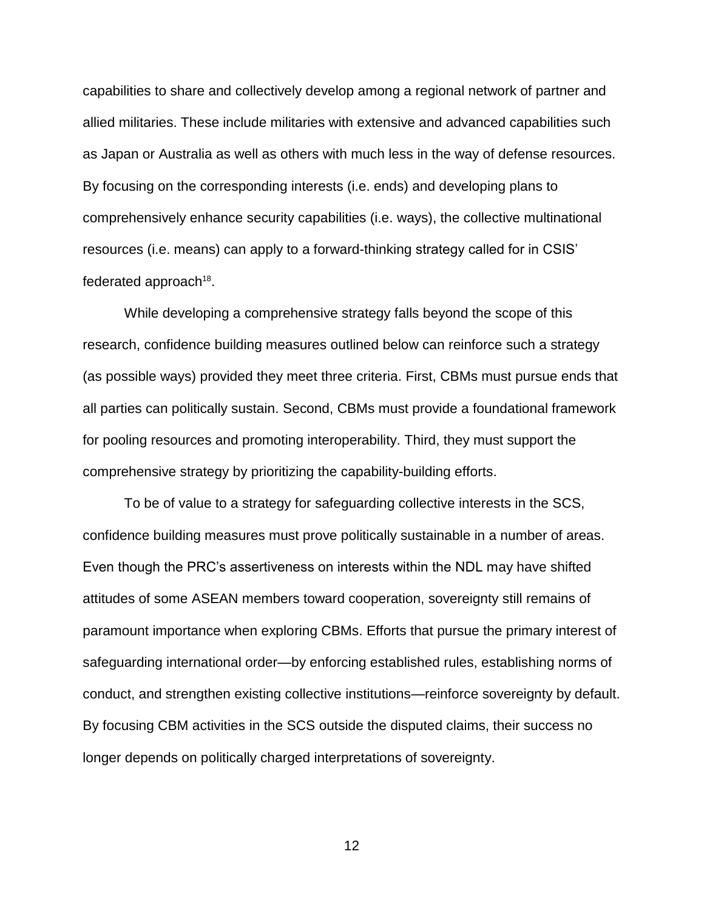capabilities to share and collectively develop among a regional network of partner and allied militaries. These include militaries with extensive and advanced capabilities such as Japan or Australia as well as others with much less in the way of defense resources. By focusing on the corresponding interests (i.e. ends) and developing plans to comprehensively enhance security capabilities (i.e. ways), the collective multinational resources (i.e. means) can apply to a forward-thinking strategy called for in CSIS' federated approach $18$ .

While developing a comprehensive strategy falls beyond the scope of this research, confidence building measures outlined below can reinforce such a strategy (as possible ways) provided they meet three criteria. First, CBMs must pursue ends that all parties can politically sustain. Second, CBMs must provide a foundational framework for pooling resources and promoting interoperability. Third, they must support the comprehensive strategy by prioritizing the capability-building efforts.

To be of value to a strategy for safeguarding collective interests in the SCS, confidence building measures must prove politically sustainable in a number of areas. Even though the PRC's assertiveness on interests within the NDL may have shifted attitudes of some ASEAN members toward cooperation, sovereignty still remains of paramount importance when exploring CBMs. Efforts that pursue the primary interest of safeguarding international order—by enforcing established rules, establishing norms of conduct, and strengthen existing collective institutions—reinforce sovereignty by default. By focusing CBM activities in the SCS outside the disputed claims, their success no longer depends on politically charged interpretations of sovereignty.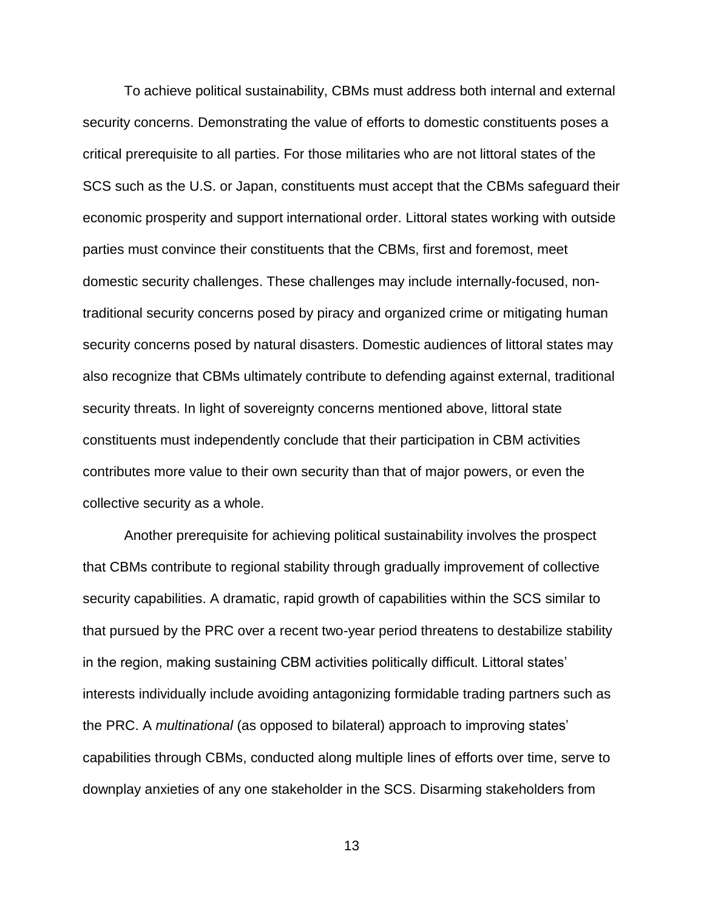To achieve political sustainability, CBMs must address both internal and external security concerns. Demonstrating the value of efforts to domestic constituents poses a critical prerequisite to all parties. For those militaries who are not littoral states of the SCS such as the U.S. or Japan, constituents must accept that the CBMs safeguard their economic prosperity and support international order. Littoral states working with outside parties must convince their constituents that the CBMs, first and foremost, meet domestic security challenges. These challenges may include internally-focused, nontraditional security concerns posed by piracy and organized crime or mitigating human security concerns posed by natural disasters. Domestic audiences of littoral states may also recognize that CBMs ultimately contribute to defending against external, traditional security threats. In light of sovereignty concerns mentioned above, littoral state constituents must independently conclude that their participation in CBM activities contributes more value to their own security than that of major powers, or even the collective security as a whole.

Another prerequisite for achieving political sustainability involves the prospect that CBMs contribute to regional stability through gradually improvement of collective security capabilities. A dramatic, rapid growth of capabilities within the SCS similar to that pursued by the PRC over a recent two-year period threatens to destabilize stability in the region, making sustaining CBM activities politically difficult. Littoral states' interests individually include avoiding antagonizing formidable trading partners such as the PRC. A *multinational* (as opposed to bilateral) approach to improving states' capabilities through CBMs, conducted along multiple lines of efforts over time, serve to downplay anxieties of any one stakeholder in the SCS. Disarming stakeholders from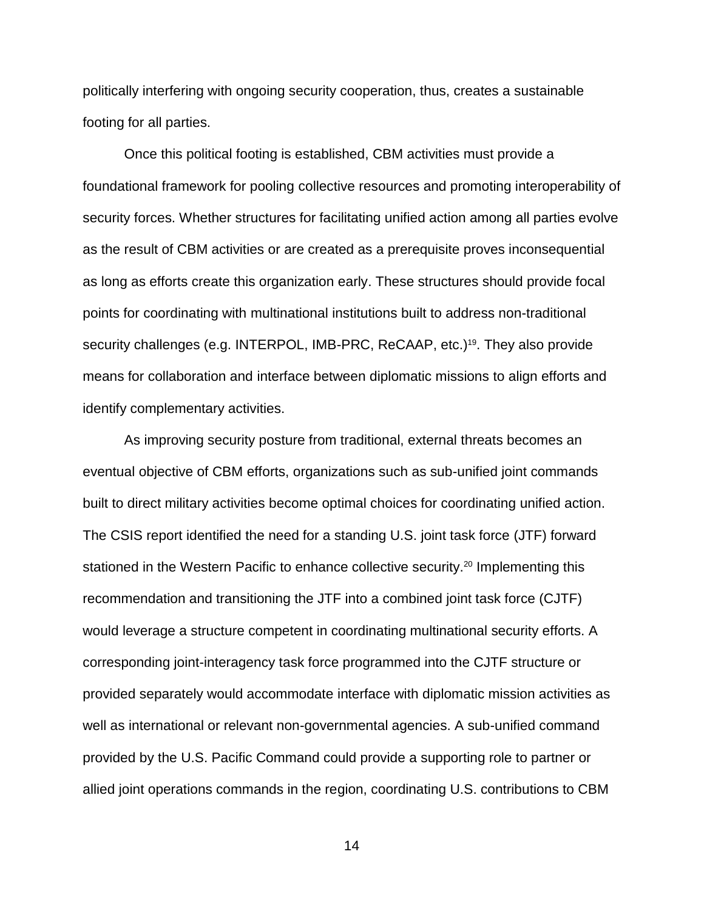politically interfering with ongoing security cooperation, thus, creates a sustainable footing for all parties.

Once this political footing is established, CBM activities must provide a foundational framework for pooling collective resources and promoting interoperability of security forces. Whether structures for facilitating unified action among all parties evolve as the result of CBM activities or are created as a prerequisite proves inconsequential as long as efforts create this organization early. These structures should provide focal points for coordinating with multinational institutions built to address non-traditional security challenges (e.g. INTERPOL, IMB-PRC, ReCAAP, etc.)<sup>19</sup>. They also provide means for collaboration and interface between diplomatic missions to align efforts and identify complementary activities.

As improving security posture from traditional, external threats becomes an eventual objective of CBM efforts, organizations such as sub-unified joint commands built to direct military activities become optimal choices for coordinating unified action. The CSIS report identified the need for a standing U.S. joint task force (JTF) forward stationed in the Western Pacific to enhance collective security.<sup>20</sup> Implementing this recommendation and transitioning the JTF into a combined joint task force (CJTF) would leverage a structure competent in coordinating multinational security efforts. A corresponding joint-interagency task force programmed into the CJTF structure or provided separately would accommodate interface with diplomatic mission activities as well as international or relevant non-governmental agencies. A sub-unified command provided by the U.S. Pacific Command could provide a supporting role to partner or allied joint operations commands in the region, coordinating U.S. contributions to CBM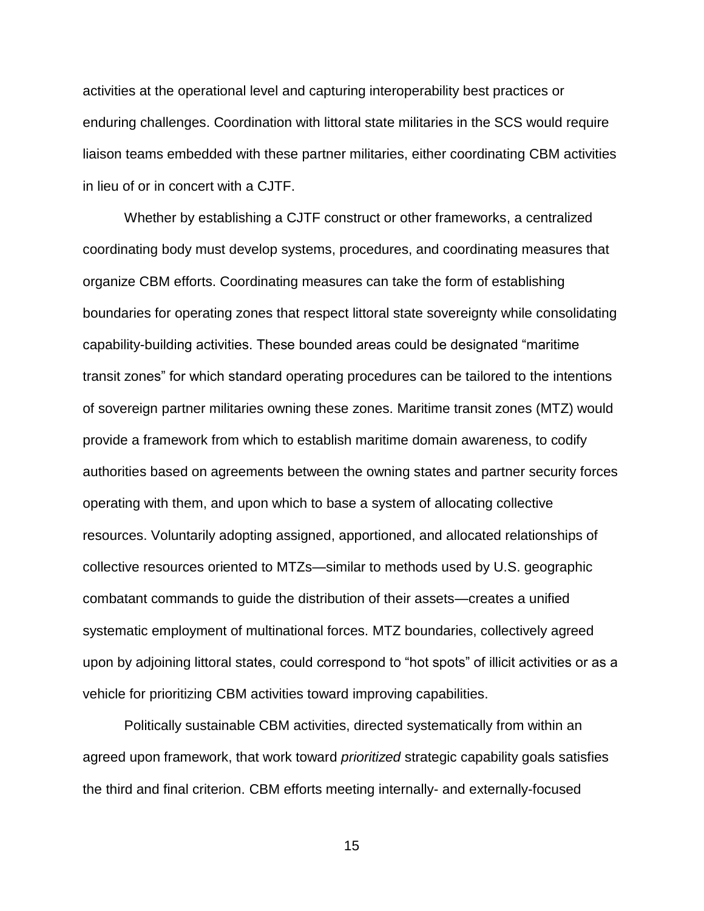activities at the operational level and capturing interoperability best practices or enduring challenges. Coordination with littoral state militaries in the SCS would require liaison teams embedded with these partner militaries, either coordinating CBM activities in lieu of or in concert with a CJTF.

Whether by establishing a CJTF construct or other frameworks, a centralized coordinating body must develop systems, procedures, and coordinating measures that organize CBM efforts. Coordinating measures can take the form of establishing boundaries for operating zones that respect littoral state sovereignty while consolidating capability-building activities. These bounded areas could be designated "maritime transit zones" for which standard operating procedures can be tailored to the intentions of sovereign partner militaries owning these zones. Maritime transit zones (MTZ) would provide a framework from which to establish maritime domain awareness, to codify authorities based on agreements between the owning states and partner security forces operating with them, and upon which to base a system of allocating collective resources. Voluntarily adopting assigned, apportioned, and allocated relationships of collective resources oriented to MTZs—similar to methods used by U.S. geographic combatant commands to guide the distribution of their assets—creates a unified systematic employment of multinational forces. MTZ boundaries, collectively agreed upon by adjoining littoral states, could correspond to "hot spots" of illicit activities or as a vehicle for prioritizing CBM activities toward improving capabilities.

Politically sustainable CBM activities, directed systematically from within an agreed upon framework, that work toward *prioritized* strategic capability goals satisfies the third and final criterion. CBM efforts meeting internally- and externally-focused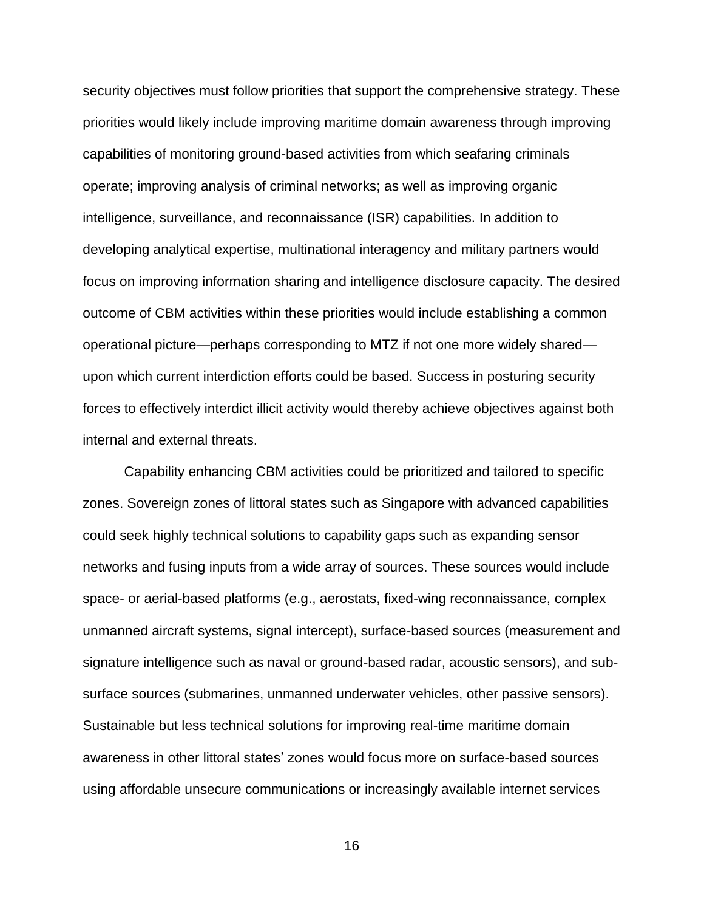security objectives must follow priorities that support the comprehensive strategy. These priorities would likely include improving maritime domain awareness through improving capabilities of monitoring ground-based activities from which seafaring criminals operate; improving analysis of criminal networks; as well as improving organic intelligence, surveillance, and reconnaissance (ISR) capabilities. In addition to developing analytical expertise, multinational interagency and military partners would focus on improving information sharing and intelligence disclosure capacity. The desired outcome of CBM activities within these priorities would include establishing a common operational picture—perhaps corresponding to MTZ if not one more widely shared upon which current interdiction efforts could be based. Success in posturing security forces to effectively interdict illicit activity would thereby achieve objectives against both internal and external threats.

Capability enhancing CBM activities could be prioritized and tailored to specific zones. Sovereign zones of littoral states such as Singapore with advanced capabilities could seek highly technical solutions to capability gaps such as expanding sensor networks and fusing inputs from a wide array of sources. These sources would include space- or aerial-based platforms (e.g., aerostats, fixed-wing reconnaissance, complex unmanned aircraft systems, signal intercept), surface-based sources (measurement and signature intelligence such as naval or ground-based radar, acoustic sensors), and subsurface sources (submarines, unmanned underwater vehicles, other passive sensors). Sustainable but less technical solutions for improving real-time maritime domain awareness in other littoral states' zones would focus more on surface-based sources using affordable unsecure communications or increasingly available internet services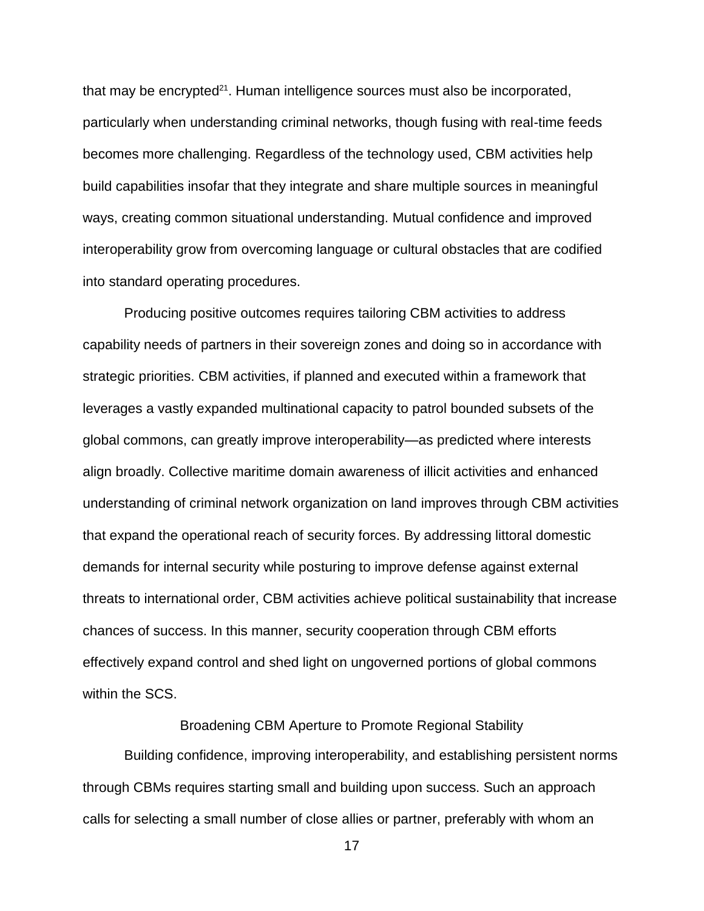that may be encrypted<sup>21</sup>. Human intelligence sources must also be incorporated, particularly when understanding criminal networks, though fusing with real-time feeds becomes more challenging. Regardless of the technology used, CBM activities help build capabilities insofar that they integrate and share multiple sources in meaningful ways, creating common situational understanding. Mutual confidence and improved interoperability grow from overcoming language or cultural obstacles that are codified into standard operating procedures.

Producing positive outcomes requires tailoring CBM activities to address capability needs of partners in their sovereign zones and doing so in accordance with strategic priorities. CBM activities, if planned and executed within a framework that leverages a vastly expanded multinational capacity to patrol bounded subsets of the global commons, can greatly improve interoperability—as predicted where interests align broadly. Collective maritime domain awareness of illicit activities and enhanced understanding of criminal network organization on land improves through CBM activities that expand the operational reach of security forces. By addressing littoral domestic demands for internal security while posturing to improve defense against external threats to international order, CBM activities achieve political sustainability that increase chances of success. In this manner, security cooperation through CBM efforts effectively expand control and shed light on ungoverned portions of global commons within the SCS.

### Broadening CBM Aperture to Promote Regional Stability

Building confidence, improving interoperability, and establishing persistent norms through CBMs requires starting small and building upon success. Such an approach calls for selecting a small number of close allies or partner, preferably with whom an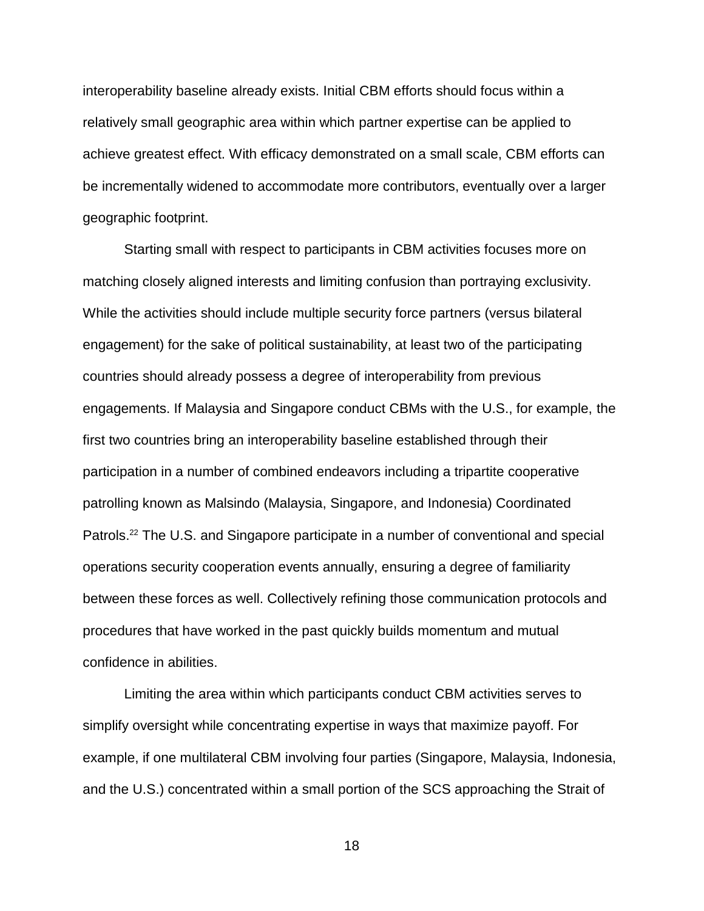interoperability baseline already exists. Initial CBM efforts should focus within a relatively small geographic area within which partner expertise can be applied to achieve greatest effect. With efficacy demonstrated on a small scale, CBM efforts can be incrementally widened to accommodate more contributors, eventually over a larger geographic footprint.

Starting small with respect to participants in CBM activities focuses more on matching closely aligned interests and limiting confusion than portraying exclusivity. While the activities should include multiple security force partners (versus bilateral engagement) for the sake of political sustainability, at least two of the participating countries should already possess a degree of interoperability from previous engagements. If Malaysia and Singapore conduct CBMs with the U.S., for example, the first two countries bring an interoperability baseline established through their participation in a number of combined endeavors including a tripartite cooperative patrolling known as Malsindo (Malaysia, Singapore, and Indonesia) Coordinated Patrols.<sup>22</sup> The U.S. and Singapore participate in a number of conventional and special operations security cooperation events annually, ensuring a degree of familiarity between these forces as well. Collectively refining those communication protocols and procedures that have worked in the past quickly builds momentum and mutual confidence in abilities.

Limiting the area within which participants conduct CBM activities serves to simplify oversight while concentrating expertise in ways that maximize payoff. For example, if one multilateral CBM involving four parties (Singapore, Malaysia, Indonesia, and the U.S.) concentrated within a small portion of the SCS approaching the Strait of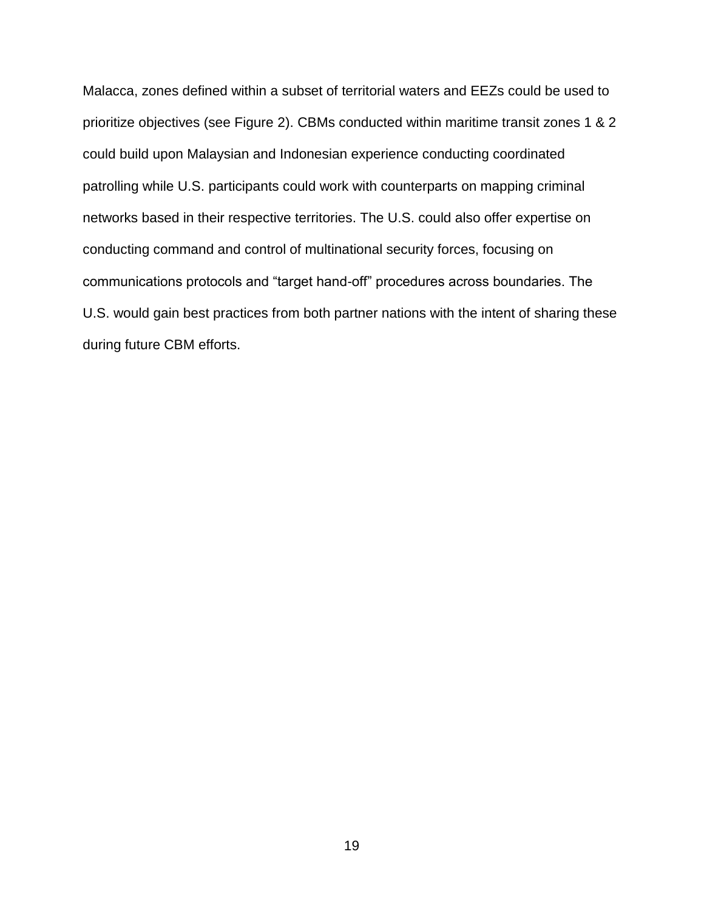Malacca, zones defined within a subset of territorial waters and EEZs could be used to prioritize objectives (see Figure 2). CBMs conducted within maritime transit zones 1 & 2 could build upon Malaysian and Indonesian experience conducting coordinated patrolling while U.S. participants could work with counterparts on mapping criminal networks based in their respective territories. The U.S. could also offer expertise on conducting command and control of multinational security forces, focusing on communications protocols and "target hand-off" procedures across boundaries. The U.S. would gain best practices from both partner nations with the intent of sharing these during future CBM efforts.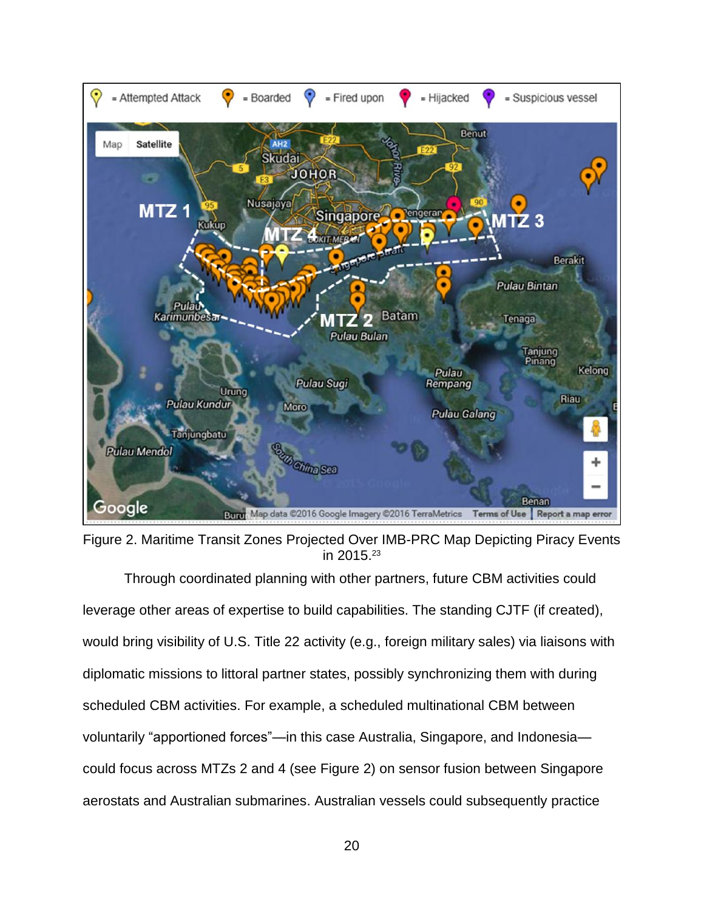

Figure 2. Maritime Transit Zones Projected Over IMB-PRC Map Depicting Piracy Events in 2015.<sup>23</sup>

Through coordinated planning with other partners, future CBM activities could leverage other areas of expertise to build capabilities. The standing CJTF (if created), would bring visibility of U.S. Title 22 activity (e.g., foreign military sales) via liaisons with diplomatic missions to littoral partner states, possibly synchronizing them with during scheduled CBM activities. For example, a scheduled multinational CBM between voluntarily "apportioned forces"—in this case Australia, Singapore, and Indonesia could focus across MTZs 2 and 4 (see Figure 2) on sensor fusion between Singapore aerostats and Australian submarines. Australian vessels could subsequently practice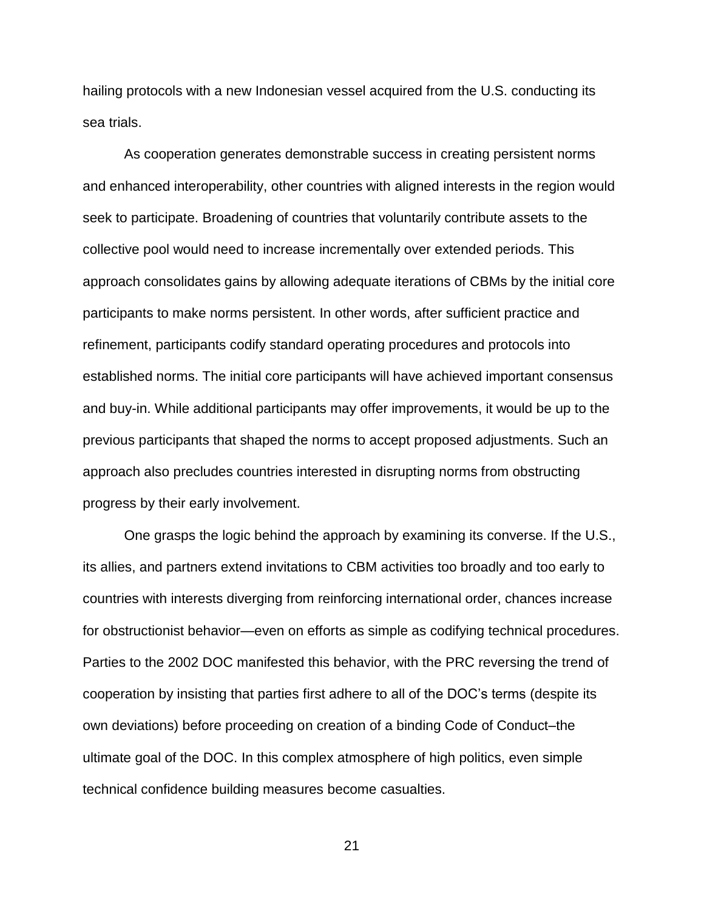hailing protocols with a new Indonesian vessel acquired from the U.S. conducting its sea trials.

As cooperation generates demonstrable success in creating persistent norms and enhanced interoperability, other countries with aligned interests in the region would seek to participate. Broadening of countries that voluntarily contribute assets to the collective pool would need to increase incrementally over extended periods. This approach consolidates gains by allowing adequate iterations of CBMs by the initial core participants to make norms persistent. In other words, after sufficient practice and refinement, participants codify standard operating procedures and protocols into established norms. The initial core participants will have achieved important consensus and buy-in. While additional participants may offer improvements, it would be up to the previous participants that shaped the norms to accept proposed adjustments. Such an approach also precludes countries interested in disrupting norms from obstructing progress by their early involvement.

One grasps the logic behind the approach by examining its converse. If the U.S., its allies, and partners extend invitations to CBM activities too broadly and too early to countries with interests diverging from reinforcing international order, chances increase for obstructionist behavior—even on efforts as simple as codifying technical procedures. Parties to the 2002 DOC manifested this behavior, with the PRC reversing the trend of cooperation by insisting that parties first adhere to all of the DOC's terms (despite its own deviations) before proceeding on creation of a binding Code of Conduct–the ultimate goal of the DOC. In this complex atmosphere of high politics, even simple technical confidence building measures become casualties.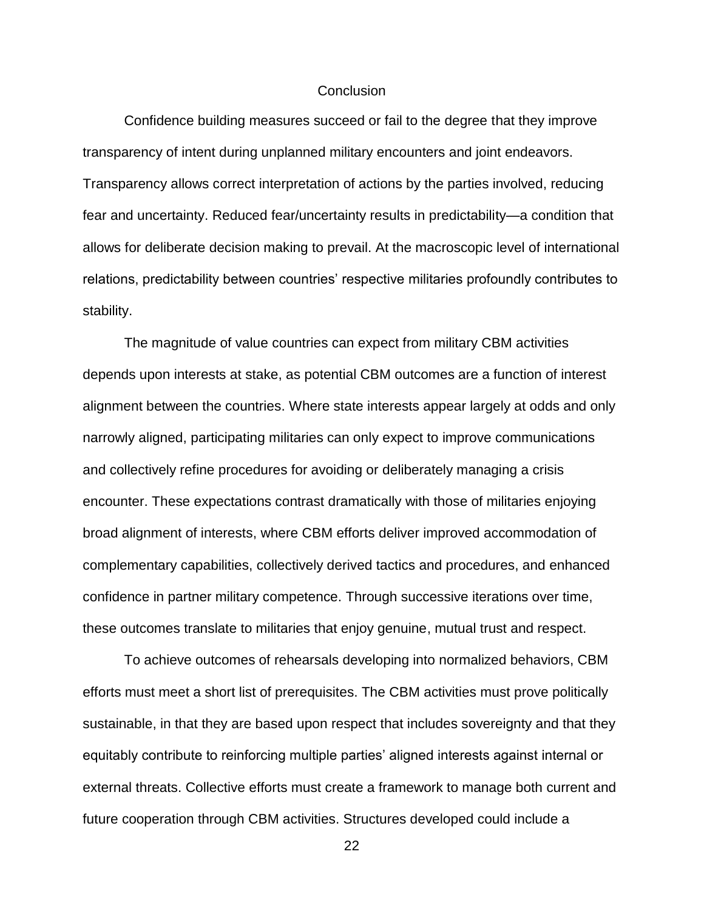### **Conclusion**

Confidence building measures succeed or fail to the degree that they improve transparency of intent during unplanned military encounters and joint endeavors. Transparency allows correct interpretation of actions by the parties involved, reducing fear and uncertainty. Reduced fear/uncertainty results in predictability—a condition that allows for deliberate decision making to prevail. At the macroscopic level of international relations, predictability between countries' respective militaries profoundly contributes to stability.

The magnitude of value countries can expect from military CBM activities depends upon interests at stake, as potential CBM outcomes are a function of interest alignment between the countries. Where state interests appear largely at odds and only narrowly aligned, participating militaries can only expect to improve communications and collectively refine procedures for avoiding or deliberately managing a crisis encounter. These expectations contrast dramatically with those of militaries enjoying broad alignment of interests, where CBM efforts deliver improved accommodation of complementary capabilities, collectively derived tactics and procedures, and enhanced confidence in partner military competence. Through successive iterations over time, these outcomes translate to militaries that enjoy genuine, mutual trust and respect.

To achieve outcomes of rehearsals developing into normalized behaviors, CBM efforts must meet a short list of prerequisites. The CBM activities must prove politically sustainable, in that they are based upon respect that includes sovereignty and that they equitably contribute to reinforcing multiple parties' aligned interests against internal or external threats. Collective efforts must create a framework to manage both current and future cooperation through CBM activities. Structures developed could include a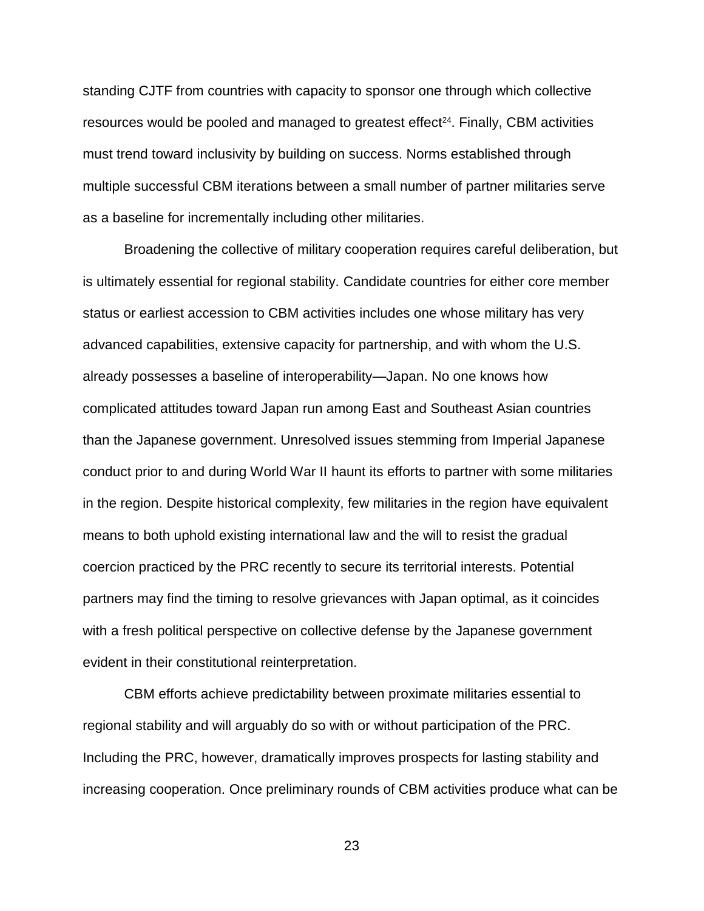standing CJTF from countries with capacity to sponsor one through which collective resources would be pooled and managed to greatest effect<sup>24</sup>. Finally, CBM activities must trend toward inclusivity by building on success. Norms established through multiple successful CBM iterations between a small number of partner militaries serve as a baseline for incrementally including other militaries.

Broadening the collective of military cooperation requires careful deliberation, but is ultimately essential for regional stability. Candidate countries for either core member status or earliest accession to CBM activities includes one whose military has very advanced capabilities, extensive capacity for partnership, and with whom the U.S. already possesses a baseline of interoperability—Japan. No one knows how complicated attitudes toward Japan run among East and Southeast Asian countries than the Japanese government. Unresolved issues stemming from Imperial Japanese conduct prior to and during World War II haunt its efforts to partner with some militaries in the region. Despite historical complexity, few militaries in the region have equivalent means to both uphold existing international law and the will to resist the gradual coercion practiced by the PRC recently to secure its territorial interests. Potential partners may find the timing to resolve grievances with Japan optimal, as it coincides with a fresh political perspective on collective defense by the Japanese government evident in their constitutional reinterpretation.

CBM efforts achieve predictability between proximate militaries essential to regional stability and will arguably do so with or without participation of the PRC. Including the PRC, however, dramatically improves prospects for lasting stability and increasing cooperation. Once preliminary rounds of CBM activities produce what can be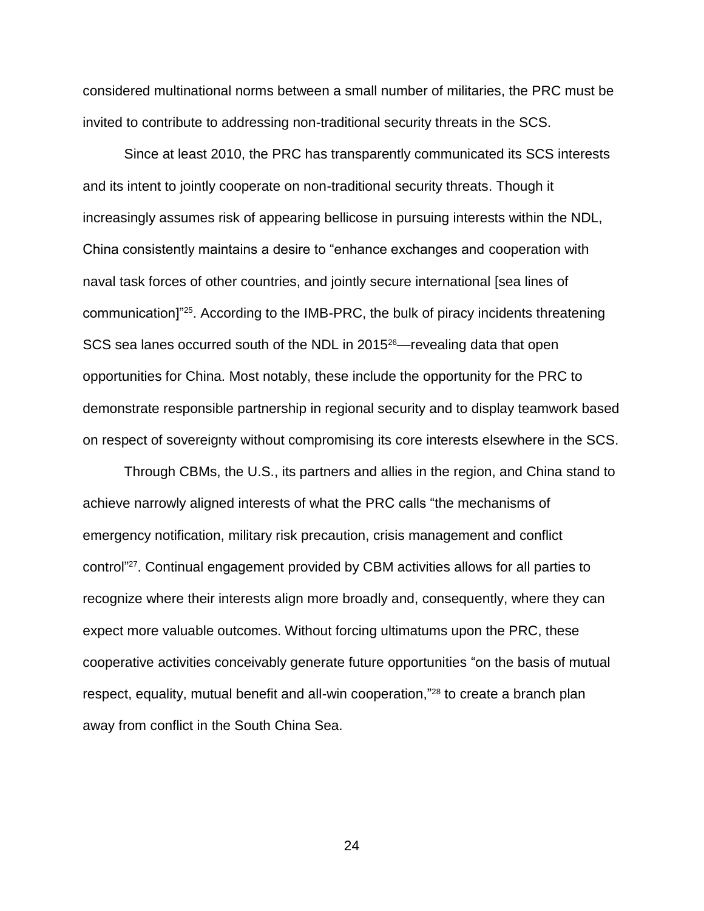considered multinational norms between a small number of militaries, the PRC must be invited to contribute to addressing non-traditional security threats in the SCS.

Since at least 2010, the PRC has transparently communicated its SCS interests and its intent to jointly cooperate on non-traditional security threats. Though it increasingly assumes risk of appearing bellicose in pursuing interests within the NDL, China consistently maintains a desire to "enhance exchanges and cooperation with naval task forces of other countries, and jointly secure international [sea lines of communication]<sup>"25</sup>. According to the IMB-PRC, the bulk of piracy incidents threatening SCS sea lanes occurred south of the NDL in 2015<sup>26</sup>—revealing data that open opportunities for China. Most notably, these include the opportunity for the PRC to demonstrate responsible partnership in regional security and to display teamwork based on respect of sovereignty without compromising its core interests elsewhere in the SCS.

Through CBMs, the U.S., its partners and allies in the region, and China stand to achieve narrowly aligned interests of what the PRC calls "the mechanisms of emergency notification, military risk precaution, crisis management and conflict control" <sup>27</sup>. Continual engagement provided by CBM activities allows for all parties to recognize where their interests align more broadly and, consequently, where they can expect more valuable outcomes. Without forcing ultimatums upon the PRC, these cooperative activities conceivably generate future opportunities "on the basis of mutual respect, equality, mutual benefit and all-win cooperation,"<sup>28</sup> to create a branch plan away from conflict in the South China Sea.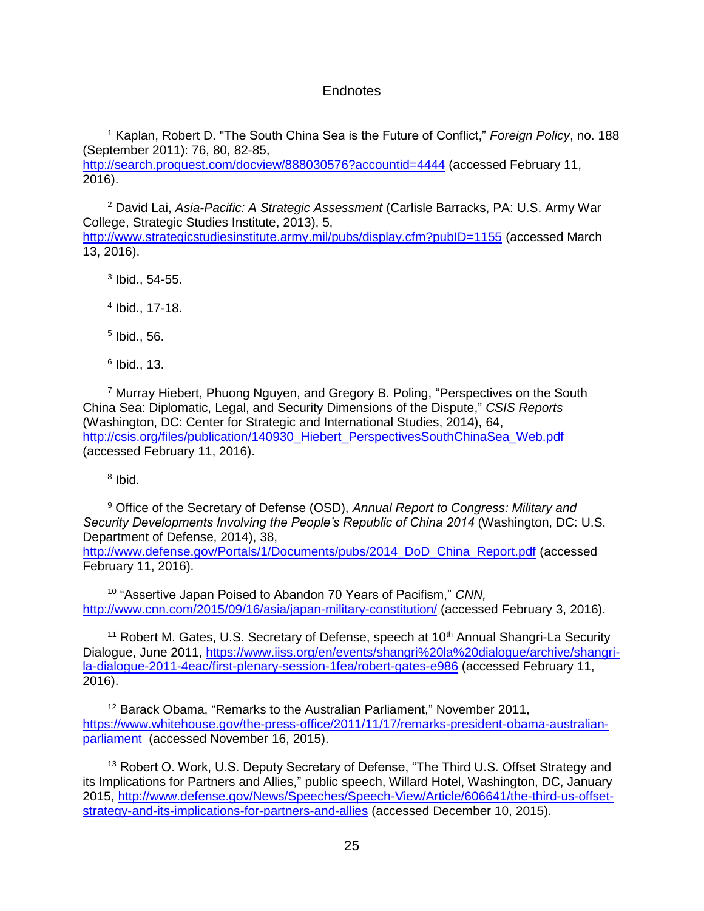### Endnotes

<sup>1</sup> Kaplan, Robert D. "The South China Sea is the Future of Conflict," *Foreign Policy*, no. 188 (September 2011): 76, 80, 82-85,

<http://search.proquest.com/docview/888030576?accountid=4444> (accessed February 11, 2016).

<sup>2</sup> David Lai, *Asia-Pacific: A Strategic Assessment* (Carlisle Barracks, PA: U.S. Army War College, Strategic Studies Institute, 2013), 5, <http://www.strategicstudiesinstitute.army.mil/pubs/display.cfm?pubID=1155> (accessed March 13, 2016).

 $3$  Ibid., 54-55.

4 Ibid., 17-18.

5 Ibid., 56.

6 Ibid., 13.

<sup>7</sup> Murray Hiebert, Phuong Nguyen, and Gregory B. Poling, "Perspectives on the South China Sea: Diplomatic, Legal, and Security Dimensions of the Dispute," *CSIS Reports* (Washington, DC: Center for Strategic and International Studies, 2014), 64, [http://csis.org/files/publication/140930\\_Hiebert\\_PerspectivesSouthChinaSea\\_Web.pdf](http://csis.org/files/publication/140930_Hiebert_PerspectivesSouthChinaSea_Web.pdf) (accessed February 11, 2016).

<sup>8</sup> Ibid.

<sup>9</sup> Office of the Secretary of Defense (OSD), *Annual Report to Congress: Military and Security Developments Involving the People's Republic of China 2014* (Washington, DC: U.S. Department of Defense, 2014), 38,

[http://www.defense.gov/Portals/1/Documents/pubs/2014\\_DoD\\_China\\_Report.pdf](http://www.defense.gov/Portals/1/Documents/pubs/2014_DoD_China_Report.pdf) (accessed February 11, 2016).

10 "Assertive Japan Poised to Abandon 70 Years of Pacifism," *CNN,*  <http://www.cnn.com/2015/09/16/asia/japan-military-constitution/> (accessed February 3, 2016).

<sup>11</sup> Robert M. Gates, U.S. Secretary of Defense, speech at  $10<sup>th</sup>$  Annual Shangri-La Security Dialogue, June 2011, [https://www.iiss.org/en/events/shangri%20la%20dialogue/archive/shangri](https://www.iiss.org/en/events/shangri%20la%20dialogue/archive/shangri-la-dialogue-2011-4eac/first-plenary-session-1fea/robert-gates-e986)[la-dialogue-2011-4eac/first-plenary-session-1fea/robert-gates-e986](https://www.iiss.org/en/events/shangri%20la%20dialogue/archive/shangri-la-dialogue-2011-4eac/first-plenary-session-1fea/robert-gates-e986) (accessed February 11, 2016).

<sup>12</sup> Barack Obama, "Remarks to the Australian Parliament," November 2011, [https://www.whitehouse.gov/the-press-office/2011/11/17/remarks-president-obama-australian](https://www.whitehouse.gov/the-press-office/2011/11/17/remarks-president-obama-australian-parliament)[parliament](https://www.whitehouse.gov/the-press-office/2011/11/17/remarks-president-obama-australian-parliament) (accessed November 16, 2015).

<sup>13</sup> Robert O. Work, U.S. Deputy Secretary of Defense, "The Third U.S. Offset Strategy and its Implications for Partners and Allies," public speech, Willard Hotel, Washington, DC, January 2015, [http://www.defense.gov/News/Speeches/Speech-View/Article/606641/the-third-us-offset](http://www.defense.gov/News/Speeches/Speech-View/Article/606641/the-third-us-offset-strategy-and-its-implications-for-partners-and-allies)[strategy-and-its-implications-for-partners-and-allies](http://www.defense.gov/News/Speeches/Speech-View/Article/606641/the-third-us-offset-strategy-and-its-implications-for-partners-and-allies) (accessed December 10, 2015).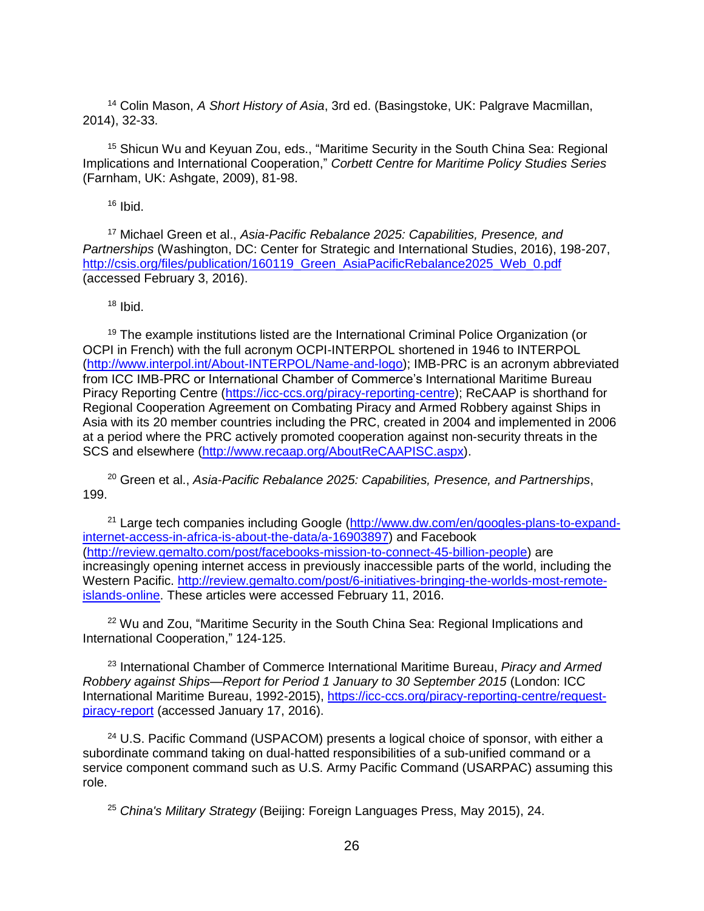<sup>14</sup> Colin Mason, *A Short History of Asia*, 3rd ed. (Basingstoke, UK: Palgrave Macmillan, 2014), 32-33.

<sup>15</sup> Shicun Wu and Keyuan Zou, eds., "Maritime Security in the South China Sea: Regional Implications and International Cooperation," *Corbett Centre for Maritime Policy Studies Series* (Farnham, UK: Ashgate, 2009), 81-98.

 $16$  Ibid.

<sup>17</sup> Michael Green et al., *Asia-Pacific Rebalance 2025: Capabilities, Presence, and Partnerships* (Washington, DC: Center for Strategic and International Studies, 2016), 198-207, [http://csis.org/files/publication/160119\\_Green\\_AsiaPacificRebalance2025\\_Web\\_0.pdf](http://csis.org/files/publication/160119_Green_AsiaPacificRebalance2025_Web_0.pdf) (accessed February 3, 2016).

 $18$  Ibid.

<sup>19</sup> The example institutions listed are the International Criminal Police Organization (or OCPI in French) with the full acronym OCPI-INTERPOL shortened in 1946 to INTERPOL [\(http://www.interpol.int/About-INTERPOL/Name-and-logo\)](http://www.interpol.int/About-INTERPOL/Name-and-logo); IMB-PRC is an acronym abbreviated from ICC IMB-PRC or International Chamber of Commerce's International Maritime Bureau Piracy Reporting Centre [\(https://icc-ccs.org/piracy-reporting-centre\)](https://icc-ccs.org/piracy-reporting-centre); ReCAAP is shorthand for Regional Cooperation Agreement on Combating Piracy and Armed Robbery against Ships in Asia with its 20 member countries including the PRC, created in 2004 and implemented in 2006 at a period where the PRC actively promoted cooperation against non-security threats in the SCS and elsewhere [\(http://www.recaap.org/AboutReCAAPISC.aspx\)](http://www.recaap.org/AboutReCAAPISC.aspx).

<sup>20</sup> Green et al., *Asia-Pacific Rebalance 2025: Capabilities, Presence, and Partnerships*, 199.

<sup>21</sup> Large tech companies including Google [\(http://www.dw.com/en/googles-plans-to-expand](http://www.dw.com/en/googles-plans-to-expand-internet-access-in-africa-is-about-the-data/a-16903897)[internet-access-in-africa-is-about-the-data/a-16903897\)](http://www.dw.com/en/googles-plans-to-expand-internet-access-in-africa-is-about-the-data/a-16903897) and Facebook [\(http://review.gemalto.com/post/facebooks-mission-to-connect-45-billion-people\)](http://review.gemalto.com/post/facebooks-mission-to-connect-45-billion-people) are increasingly opening internet access in previously inaccessible parts of the world, including the Western Pacific. [http://review.gemalto.com/post/6-initiatives-bringing-the-worlds-most-remote](http://review.gemalto.com/post/6-initiatives-bringing-the-worlds-most-remote-islands-online)[islands-online.](http://review.gemalto.com/post/6-initiatives-bringing-the-worlds-most-remote-islands-online) These articles were accessed February 11, 2016.

 $22$  Wu and Zou, "Maritime Security in the South China Sea: Regional Implications and International Cooperation," 124-125.

<sup>23</sup> International Chamber of Commerce International Maritime Bureau, *Piracy and Armed Robbery against Ships—Report for Period 1 January to 30 September 2015* (London: ICC International Maritime Bureau, 1992-2015), [https://icc-ccs.org/piracy-reporting-centre/request](https://icc-ccs.org/piracy-reporting-centre/request-piracy-report)[piracy-report](https://icc-ccs.org/piracy-reporting-centre/request-piracy-report) (accessed January 17, 2016).

<sup>24</sup> U.S. Pacific Command (USPACOM) presents a logical choice of sponsor, with either a subordinate command taking on dual-hatted responsibilities of a sub-unified command or a service component command such as U.S. Army Pacific Command (USARPAC) assuming this role.

<sup>25</sup> *China's Military Strategy* (Beijing: Foreign Languages Press, May 2015), 24.